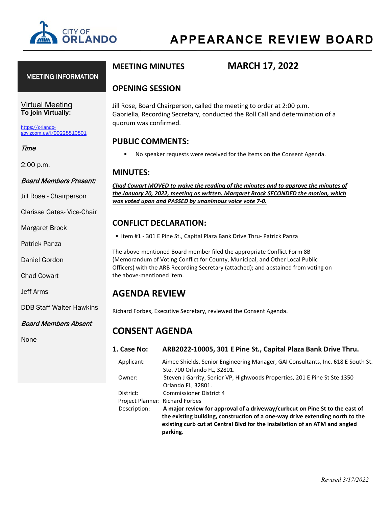

### MEETING INFORMATION

### Virtual Meeting **To join Virtually:**

[https://orlando](https://orlando-gov.zoom.us/j/99228810801)[gov.zoom.us/j/99228810801](https://orlando-gov.zoom.us/j/99228810801)

#### Time

2:00 p.m.

### Board Members Present:

Jill Rose - Chairperson

Clarisse Gates- Vice-Chair

Margaret Brock

Patrick Panza

Daniel Gordon

Chad Cowart

Jeff Arms

DDB Staff Walter Hawkins

Board Members Absent

None

# **MEETING MINUTES MARCH 17, 2022**

### **OPENING SESSION**

Jill Rose, Board Chairperson, called the meeting to order at 2:00 p.m. Gabriella, Recording Secretary, conducted the Roll Call and determination of a quorum was confirmed.

### **PUBLIC COMMENTS:**

No speaker requests were received for the items on the Consent Agenda.

### **MINUTES:**

*Chad Cowart MOVED to waive the reading of the minutes and to approve the minutes of the January 20, 2022, meeting as written. Margaret Brock SECONDED the motion, which was voted upon and PASSED by unanimous voice vote 7-0.* 

### **CONFLICT DECLARATION:**

■ Item #1 - 301 E Pine St., Capital Plaza Bank Drive Thru- Patrick Panza

The above-mentioned Board member filed the appropriate Conflict Form 8B (Memorandum of Voting Conflict for County, Municipal, and Other Local Public Officers) with the ARB Recording Secretary (attached); and abstained from voting on the above-mentioned item.

# **AGENDA REVIEW**

Richard Forbes, Executive Secretary, reviewed the Consent Agenda.

# **CONSENT AGENDA**

- **1. Case No: ARB2022-10005, 301 E Pine St., Capital Plaza Bank Drive Thru.** 
	- Applicant: Aimee Shields, Senior Engineering Manager, GAI Consultants, Inc. 618 E South St. Ste. 700 Orlando FL, 32801. Owner: Steven J Garrity, Senior VP, Highwoods Properties, 201 E Pine St Ste 1350 Orlando FL, 32801. District: Commissioner District 4

Project Planner: Richard Forbes

 Description: **A major review for approval of a driveway/curbcut on Pine St to the east of the existing building, construction of a one-way drive extending north to the existing curb cut at Central Blvd for the installation of an ATM and angled parking.**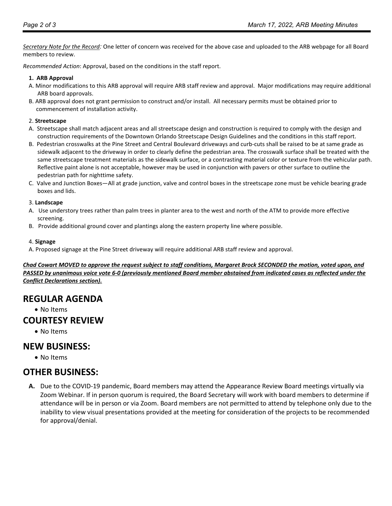*Secretary Note for the Record:* One letter of concern was received for the above case and uploaded to the ARB webpage for all Board members to review.

*Recommended Action*: Approval, based on the conditions in the staff report.

#### **1. ARB Approval**

- A. Minor modifications to this ARB approval will require ARB staff review and approval. Major modifications may require additional ARB board approvals.
- B. ARB approval does not grant permission to construct and/or install. All necessary permits must be obtained prior to commencement of installation activity.

#### 2. **Streetscape**

- A. Streetscape shall match adjacent areas and all streetscape design and construction is required to comply with the design and construction requirements of the Downtown Orlando Streetscape Design Guidelines and the conditions in this staff report.
- B. Pedestrian crosswalks at the Pine Street and Central Boulevard driveways and curb-cuts shall be raised to be at same grade as sidewalk adjacent to the driveway in order to clearly define the pedestrian area. The crosswalk surface shall be treated with the same streetscape treatment materials as the sidewalk surface, or a contrasting material color or texture from the vehicular path. Reflective paint alone is not acceptable, however may be used in conjunction with pavers or other surface to outline the pedestrian path for nighttime safety.
- C. Valve and Junction Boxes—All at grade junction, valve and control boxes in the streetscape zone must be vehicle bearing grade boxes and lids.

#### 3. **Landscape**

- A. Use understory trees rather than palm trees in planter area to the west and north of the ATM to provide more effective screening.
- B. Provide additional ground cover and plantings along the eastern property line where possible.

#### 4. **Signage**

A. Proposed signage at the Pine Street driveway will require additional ARB staff review and approval.

*Chad Cowart MOVED to approve the request subject to staff conditions, Margaret Brock SECONDED the motion, voted upon, and PASSED by unanimous voice vote 6-0 (previously mentioned Board member abstained from indicated cases as reflected under the Conflict Declarations section).* 

# **REGULAR AGENDA**

• No Items

# **COURTESY REVIEW**

• No Items

# **NEW BUSINESS:**

• No Items

# **OTHER BUSINESS:**

**A.** Due to the COVID-19 pandemic, Board members may attend the Appearance Review Board meetings virtually via Zoom Webinar. If in person quorum is required, the Board Secretary will work with board members to determine if attendance will be in person or via Zoom. Board members are not permitted to attend by telephone only due to the inability to view visual presentations provided at the meeting for consideration of the projects to be recommended for approval/denial.